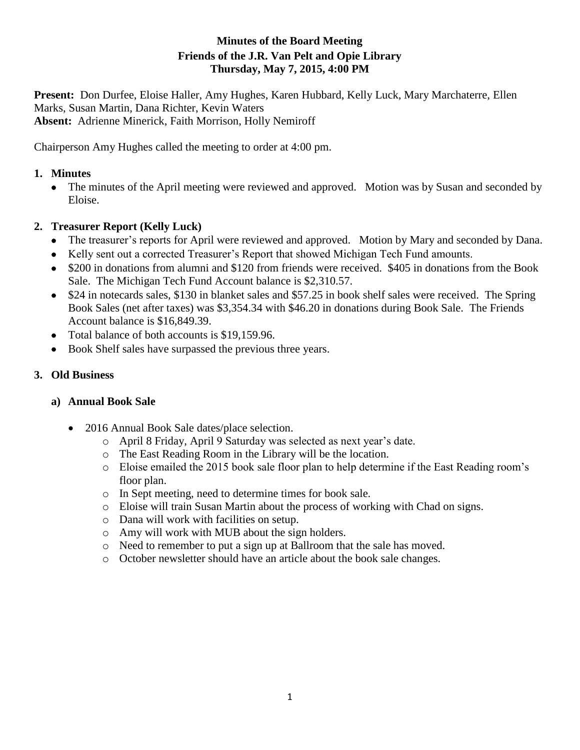## **Minutes of the Board Meeting Friends of the J.R. Van Pelt and Opie Library Thursday, May 7, 2015, 4:00 PM**

**Present:** Don Durfee, Eloise Haller, Amy Hughes, Karen Hubbard, Kelly Luck, Mary Marchaterre, Ellen Marks, Susan Martin, Dana Richter, Kevin Waters **Absent:** Adrienne Minerick, Faith Morrison, Holly Nemiroff

Chairperson Amy Hughes called the meeting to order at 4:00 pm.

#### **1. Minutes**

 The minutes of the April meeting were reviewed and approved. Motion was by Susan and seconded by Eloise.

# **2. Treasurer Report (Kelly Luck)**

- The treasurer's reports for April were reviewed and approved. Motion by Mary and seconded by Dana.
- Kelly sent out a corrected Treasurer's Report that showed Michigan Tech Fund amounts.
- \$200 in donations from alumni and \$120 from friends were received. \$405 in donations from the Book Sale. The Michigan Tech Fund Account balance is \$2,310.57.
- \$24 in notecards sales, \$130 in blanket sales and \$57.25 in book shelf sales were received. The Spring Book Sales (net after taxes) was \$3,354.34 with \$46.20 in donations during Book Sale. The Friends Account balance is \$16,849.39.
- Total balance of both accounts is \$19,159.96.
- Book Shelf sales have surpassed the previous three years.

## **3. Old Business**

## **a) Annual Book Sale**

- 2016 Annual Book Sale dates/place selection.
	- o April 8 Friday, April 9 Saturday was selected as next year's date.
	- o The East Reading Room in the Library will be the location.
	- o Eloise emailed the 2015 book sale floor plan to help determine if the East Reading room's floor plan.
	- o In Sept meeting, need to determine times for book sale.
	- o Eloise will train Susan Martin about the process of working with Chad on signs.
	- o Dana will work with facilities on setup.
	- o Amy will work with MUB about the sign holders.
	- o Need to remember to put a sign up at Ballroom that the sale has moved.
	- o October newsletter should have an article about the book sale changes.